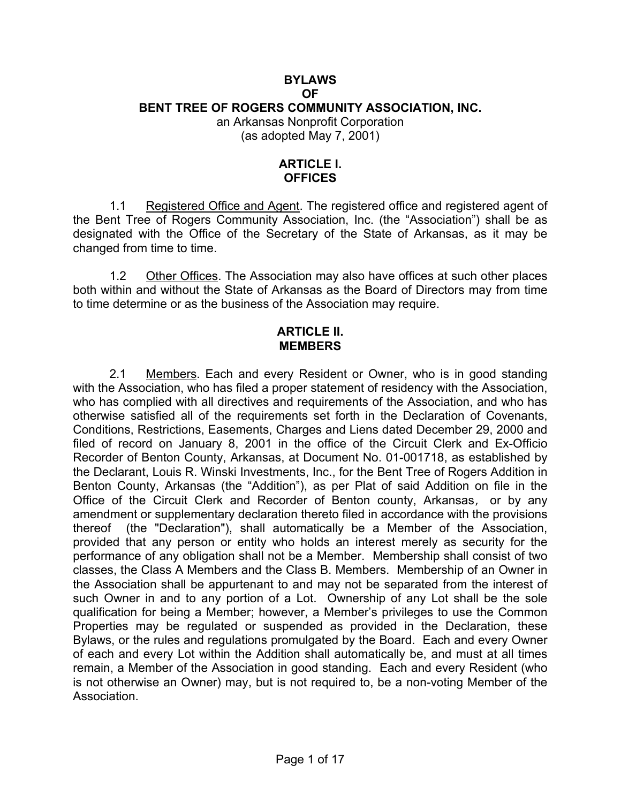# **BYLAWS OF BENT TREE OF ROGERS COMMUNITY ASSOCIATION, INC.**  an Arkansas Nonprofit Corporation

(as adopted May 7, 2001)

## **ARTICLE I. OFFICES**

1.1 Registered Office and Agent. The registered office and registered agent of the Bent Tree of Rogers Community Association, Inc. (the "Association") shall be as designated with the Office of the Secretary of the State of Arkansas, as it may be changed from time to time.

1.2 Other Offices. The Association may also have offices at such other places both within and without the State of Arkansas as the Board of Directors may from time to time determine or as the business of the Association may require.

#### **ARTICLE II. MEMBERS**

2.1 Members. Each and every Resident or Owner, who is in good standing with the Association, who has filed a proper statement of residency with the Association, who has complied with all directives and requirements of the Association, and who has otherwise satisfied all of the requirements set forth in the Declaration of Covenants, Conditions, Restrictions, Easements, Charges and Liens dated December 29, 2000 and filed of record on January 8, 2001 in the office of the Circuit Clerk and Ex-Officio Recorder of Benton County, Arkansas, at Document No. 01-001718, as established by the Declarant, Louis R. Winski Investments, Inc., for the Bent Tree of Rogers Addition in Benton County, Arkansas (the "Addition"), as per Plat of said Addition on file in the Office of the Circuit Clerk and Recorder of Benton county, Arkansas, or by any amendment or supplementary declaration thereto filed in accordance with the provisions thereof (the "Declaration"), shall automatically be a Member of the Association, provided that any person or entity who holds an interest merely as security for the performance of any obligation shall not be a Member. Membership shall consist of two classes, the Class A Members and the Class B. Members. Membership of an Owner in the Association shall be appurtenant to and may not be separated from the interest of such Owner in and to any portion of a Lot. Ownership of any Lot shall be the sole qualification for being a Member; however, a Member's privileges to use the Common Properties may be regulated or suspended as provided in the Declaration, these Bylaws, or the rules and regulations promulgated by the Board. Each and every Owner of each and every Lot within the Addition shall automatically be, and must at all times remain, a Member of the Association in good standing. Each and every Resident (who is not otherwise an Owner) may, but is not required to, be a non-voting Member of the Association.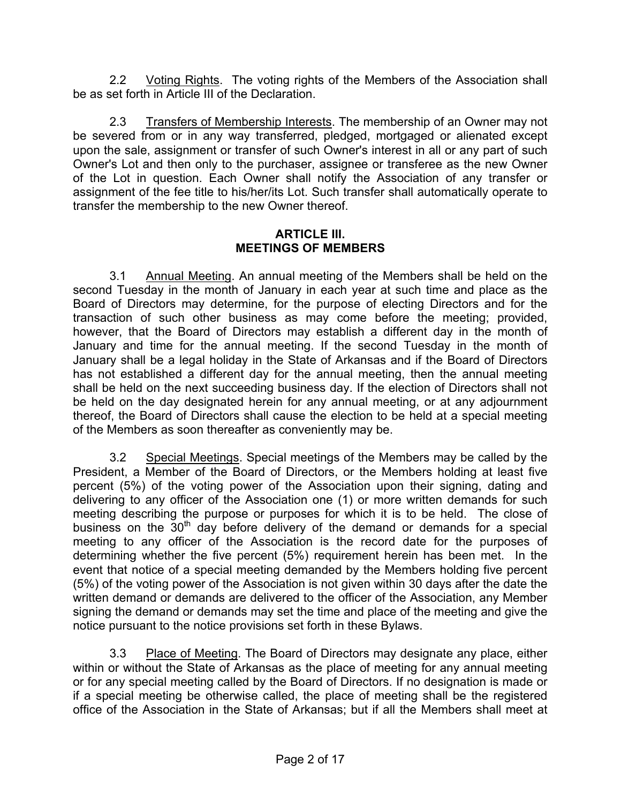2.2 Voting Rights. The voting rights of the Members of the Association shall be as set forth in Article III of the Declaration.

2.3 Transfers of Membership Interests. The membership of an Owner may not be severed from or in any way transferred, pledged, mortgaged or alienated except upon the sale, assignment or transfer of such Owner's interest in all or any part of such Owner's Lot and then only to the purchaser, assignee or transferee as the new Owner of the Lot in question. Each Owner shall notify the Association of any transfer or assignment of the fee title to his/her/its Lot. Such transfer shall automatically operate to transfer the membership to the new Owner thereof.

## **ARTICLE III. MEETINGS OF MEMBERS**

3.1 Annual Meeting. An annual meeting of the Members shall be held on the second Tuesday in the month of January in each year at such time and place as the Board of Directors may determine, for the purpose of electing Directors and for the transaction of such other business as may come before the meeting; provided, however, that the Board of Directors may establish a different day in the month of January and time for the annual meeting. If the second Tuesday in the month of January shall be a legal holiday in the State of Arkansas and if the Board of Directors has not established a different day for the annual meeting, then the annual meeting shall be held on the next succeeding business day. If the election of Directors shall not be held on the day designated herein for any annual meeting, or at any adjournment thereof, the Board of Directors shall cause the election to be held at a special meeting of the Members as soon thereafter as conveniently may be.

3.2 Special Meetings. Special meetings of the Members may be called by the President, a Member of the Board of Directors, or the Members holding at least five percent (5%) of the voting power of the Association upon their signing, dating and delivering to any officer of the Association one (1) or more written demands for such meeting describing the purpose or purposes for which it is to be held. The close of business on the  $30<sup>th</sup>$  day before delivery of the demand or demands for a special meeting to any officer of the Association is the record date for the purposes of determining whether the five percent (5%) requirement herein has been met. In the event that notice of a special meeting demanded by the Members holding five percent (5%) of the voting power of the Association is not given within 30 days after the date the written demand or demands are delivered to the officer of the Association, any Member signing the demand or demands may set the time and place of the meeting and give the notice pursuant to the notice provisions set forth in these Bylaws.

3.3 Place of Meeting. The Board of Directors may designate any place, either within or without the State of Arkansas as the place of meeting for any annual meeting or for any special meeting called by the Board of Directors. If no designation is made or if a special meeting be otherwise called, the place of meeting shall be the registered office of the Association in the State of Arkansas; but if all the Members shall meet at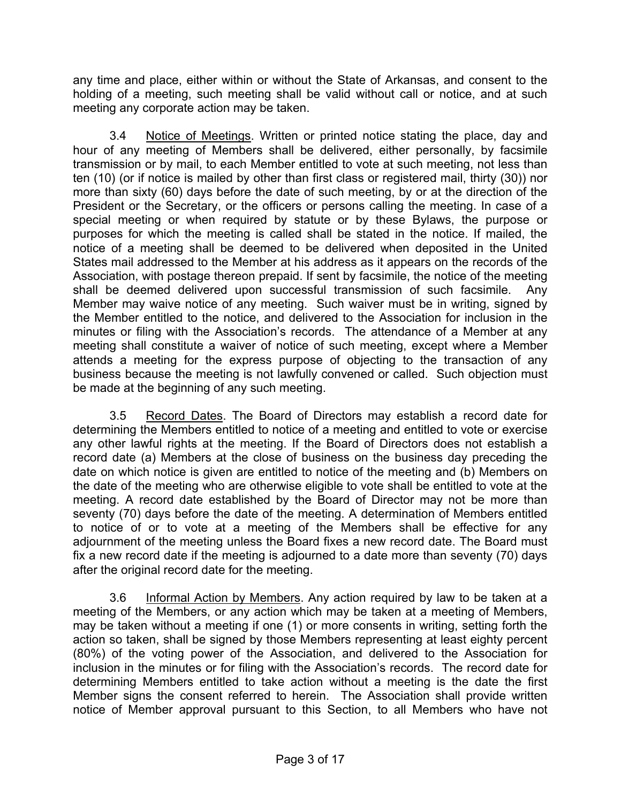any time and place, either within or without the State of Arkansas, and consent to the holding of a meeting, such meeting shall be valid without call or notice, and at such meeting any corporate action may be taken.

3.4 Notice of Meetings. Written or printed notice stating the place, day and hour of any meeting of Members shall be delivered, either personally, by facsimile transmission or by mail, to each Member entitled to vote at such meeting, not less than ten (10) (or if notice is mailed by other than first class or registered mail, thirty (30)) nor more than sixty (60) days before the date of such meeting, by or at the direction of the President or the Secretary, or the officers or persons calling the meeting. In case of a special meeting or when required by statute or by these Bylaws, the purpose or purposes for which the meeting is called shall be stated in the notice. If mailed, the notice of a meeting shall be deemed to be delivered when deposited in the United States mail addressed to the Member at his address as it appears on the records of the Association, with postage thereon prepaid. If sent by facsimile, the notice of the meeting shall be deemed delivered upon successful transmission of such facsimile. Any Member may waive notice of any meeting. Such waiver must be in writing, signed by the Member entitled to the notice, and delivered to the Association for inclusion in the minutes or filing with the Association's records. The attendance of a Member at any meeting shall constitute a waiver of notice of such meeting, except where a Member attends a meeting for the express purpose of objecting to the transaction of any business because the meeting is not lawfully convened or called. Such objection must be made at the beginning of any such meeting.

3.5 Record Dates. The Board of Directors may establish a record date for determining the Members entitled to notice of a meeting and entitled to vote or exercise any other lawful rights at the meeting. If the Board of Directors does not establish a record date (a) Members at the close of business on the business day preceding the date on which notice is given are entitled to notice of the meeting and (b) Members on the date of the meeting who are otherwise eligible to vote shall be entitled to vote at the meeting. A record date established by the Board of Director may not be more than seventy (70) days before the date of the meeting. A determination of Members entitled to notice of or to vote at a meeting of the Members shall be effective for any adjournment of the meeting unless the Board fixes a new record date. The Board must fix a new record date if the meeting is adjourned to a date more than seventy (70) days after the original record date for the meeting.

3.6 Informal Action by Members. Any action required by law to be taken at a meeting of the Members, or any action which may be taken at a meeting of Members, may be taken without a meeting if one (1) or more consents in writing, setting forth the action so taken, shall be signed by those Members representing at least eighty percent (80%) of the voting power of the Association, and delivered to the Association for inclusion in the minutes or for filing with the Association's records. The record date for determining Members entitled to take action without a meeting is the date the first Member signs the consent referred to herein. The Association shall provide written notice of Member approval pursuant to this Section, to all Members who have not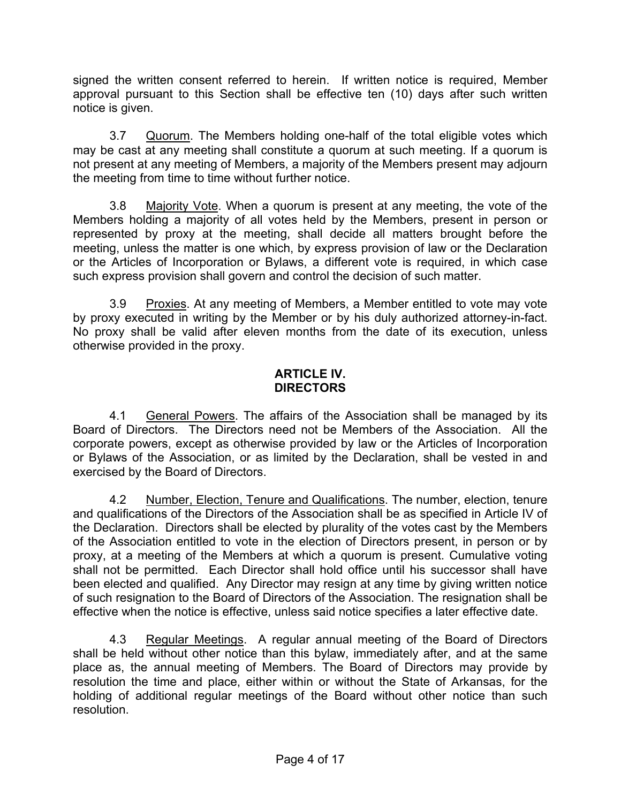signed the written consent referred to herein. If written notice is required, Member approval pursuant to this Section shall be effective ten (10) days after such written notice is given.

3.7 Quorum. The Members holding one-half of the total eligible votes which may be cast at any meeting shall constitute a quorum at such meeting. If a quorum is not present at any meeting of Members, a majority of the Members present may adjourn the meeting from time to time without further notice.

3.8 Majority Vote. When a quorum is present at any meeting, the vote of the Members holding a majority of all votes held by the Members, present in person or represented by proxy at the meeting, shall decide all matters brought before the meeting, unless the matter is one which, by express provision of law or the Declaration or the Articles of Incorporation or Bylaws, a different vote is required, in which case such express provision shall govern and control the decision of such matter.

3.9 Proxies. At any meeting of Members, a Member entitled to vote may vote by proxy executed in writing by the Member or by his duly authorized attorney-in-fact. No proxy shall be valid after eleven months from the date of its execution, unless otherwise provided in the proxy.

#### **ARTICLE IV. DIRECTORS**

4.1 General Powers. The affairs of the Association shall be managed by its Board of Directors. The Directors need not be Members of the Association. All the corporate powers, except as otherwise provided by law or the Articles of Incorporation or Bylaws of the Association, or as limited by the Declaration, shall be vested in and exercised by the Board of Directors.

4.2 Number, Election, Tenure and Qualifications. The number, election, tenure and qualifications of the Directors of the Association shall be as specified in Article IV of the Declaration. Directors shall be elected by plurality of the votes cast by the Members of the Association entitled to vote in the election of Directors present, in person or by proxy, at a meeting of the Members at which a quorum is present. Cumulative voting shall not be permitted. Each Director shall hold office until his successor shall have been elected and qualified. Any Director may resign at any time by giving written notice of such resignation to the Board of Directors of the Association. The resignation shall be effective when the notice is effective, unless said notice specifies a later effective date.

4.3 Regular Meetings. A regular annual meeting of the Board of Directors shall be held without other notice than this bylaw, immediately after, and at the same place as, the annual meeting of Members. The Board of Directors may provide by resolution the time and place, either within or without the State of Arkansas, for the holding of additional regular meetings of the Board without other notice than such resolution.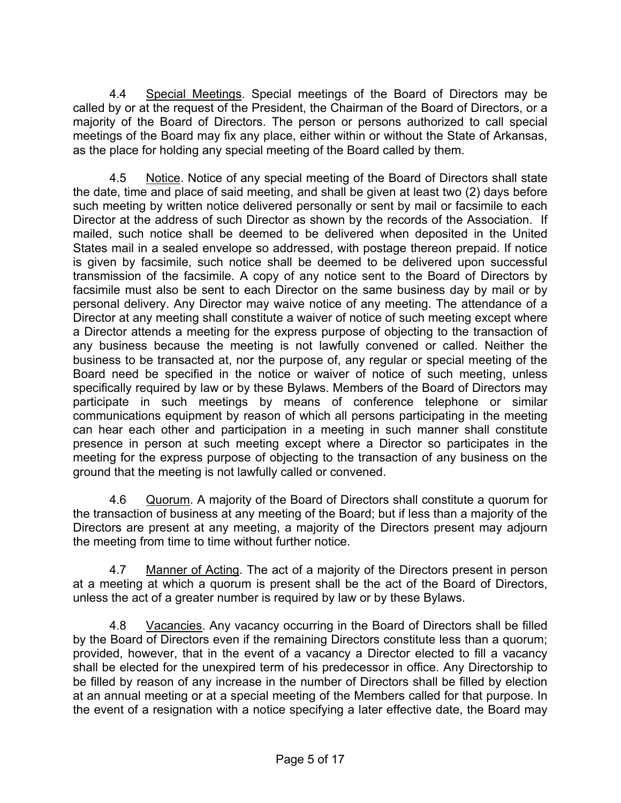4.4 Special Meetings. Special meetings of the Board of Directors may be called by or at the request of the President, the Chairman of the Board of Directors, or a majority of the Board of Directors. The person or persons authorized to call special meetings of the Board may fix any place, either within or without the State of Arkansas, as the place for holding any special meeting of the Board called by them.

4.5 Notice. Notice of any special meeting of the Board of Directors shall state the date, time and place of said meeting, and shall be given at least two (2) days before such meeting by written notice delivered personally or sent by mail or facsimile to each Director at the address of such Director as shown by the records of the Association. If mailed, such notice shall be deemed to be delivered when deposited in the United States mail in a sealed envelope so addressed, with postage thereon prepaid. If notice is given by facsimile, such notice shall be deemed to be delivered upon successful transmission of the facsimile. A copy of any notice sent to the Board of Directors by facsimile must also be sent to each Director on the same business day by mail or by personal delivery. Any Director may waive notice of any meeting. The attendance of a Director at any meeting shall constitute a waiver of notice of such meeting except where a Director attends a meeting for the express purpose of objecting to the transaction of any business because the meeting is not lawfully convened or called. Neither the business to be transacted at, nor the purpose of, any regular or special meeting of the Board need be specified in the notice or waiver of notice of such meeting, unless specifically required by law or by these Bylaws. Members of the Board of Directors may participate in such meetings by means of conference telephone or similar communications equipment by reason of which all persons participating in the meeting can hear each other and participation in a meeting in such manner shall constitute presence in person at such meeting except where a Director so participates in the meeting for the express purpose of objecting to the transaction of any business on the ground that the meeting is not lawfully called or convened.

4.6 Quorum. A majority of the Board of Directors shall constitute a quorum for the transaction of business at any meeting of the Board; but if less than a majority of the Directors are present at any meeting, a majority of the Directors present may adjourn the meeting from time to time without further notice.

4.7 Manner of Acting. The act of a majority of the Directors present in person at a meeting at which a quorum is present shall be the act of the Board of Directors, unless the act of a greater number is required by law or by these Bylaws.

4.8 Vacancies. Any vacancy occurring in the Board of Directors shall be filled by the Board of Directors even if the remaining Directors constitute less than a quorum; provided, however, that in the event of a vacancy a Director elected to fill a vacancy shall be elected for the unexpired term of his predecessor in office. Any Directorship to be filled by reason of any increase in the number of Directors shall be filled by election at an annual meeting or at a special meeting of the Members called for that purpose. In the event of a resignation with a notice specifying a later effective date, the Board may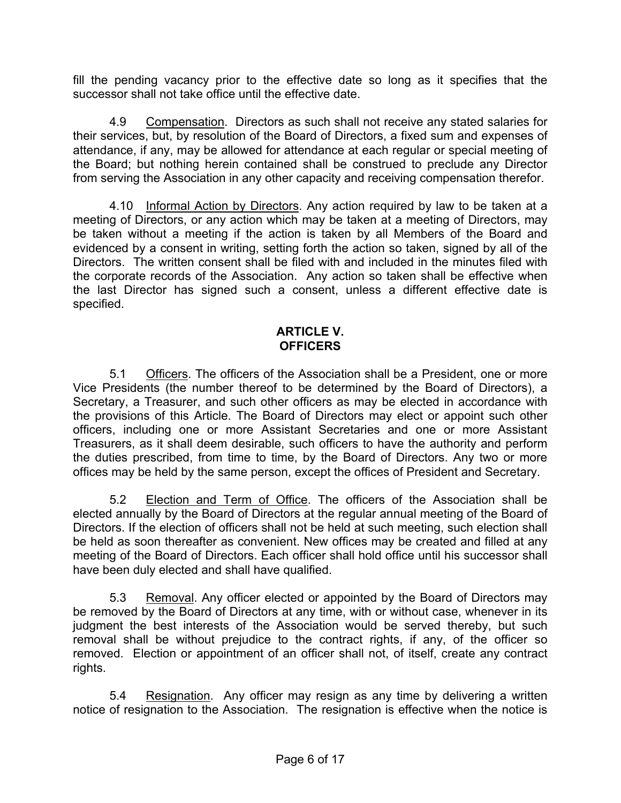fill the pending vacancy prior to the effective date so long as it specifies that the successor shall not take office until the effective date.

4.9 Compensation. Directors as such shall not receive any stated salaries for their services, but, by resolution of the Board of Directors, a fixed sum and expenses of attendance, if any, may be allowed for attendance at each regular or special meeting of the Board; but nothing herein contained shall be construed to preclude any Director from serving the Association in any other capacity and receiving compensation therefor.

4.10 Informal Action by Directors. Any action required by law to be taken at a meeting of Directors, or any action which may be taken at a meeting of Directors, may be taken without a meeting if the action is taken by all Members of the Board and evidenced by a consent in writing, setting forth the action so taken, signed by all of the Directors. The written consent shall be filed with and included in the minutes filed with the corporate records of the Association. Any action so taken shall be effective when the last Director has signed such a consent, unless a different effective date is specified.

#### **ARTICLE V. OFFICERS**

5.1 Officers. The officers of the Association shall be a President, one or more Vice Presidents (the number thereof to be determined by the Board of Directors), a Secretary, a Treasurer, and such other officers as may be elected in accordance with the provisions of this Article. The Board of Directors may elect or appoint such other officers, including one or more Assistant Secretaries and one or more Assistant Treasurers, as it shall deem desirable, such officers to have the authority and perform the duties prescribed, from time to time, by the Board of Directors. Any two or more offices may be held by the same person, except the offices of President and Secretary.

5.2 Election and Term of Office. The officers of the Association shall be elected annually by the Board of Directors at the regular annual meeting of the Board of Directors. If the election of officers shall not be held at such meeting, such election shall be held as soon thereafter as convenient. New offices may be created and filled at any meeting of the Board of Directors. Each officer shall hold office until his successor shall have been duly elected and shall have qualified.

5.3 Removal. Any officer elected or appointed by the Board of Directors may be removed by the Board of Directors at any time, with or without case, whenever in its judgment the best interests of the Association would be served thereby, but such removal shall be without prejudice to the contract rights, if any, of the officer so removed. Election or appointment of an officer shall not, of itself, create any contract rights.

5.4 Resignation. Any officer may resign as any time by delivering a written notice of resignation to the Association. The resignation is effective when the notice is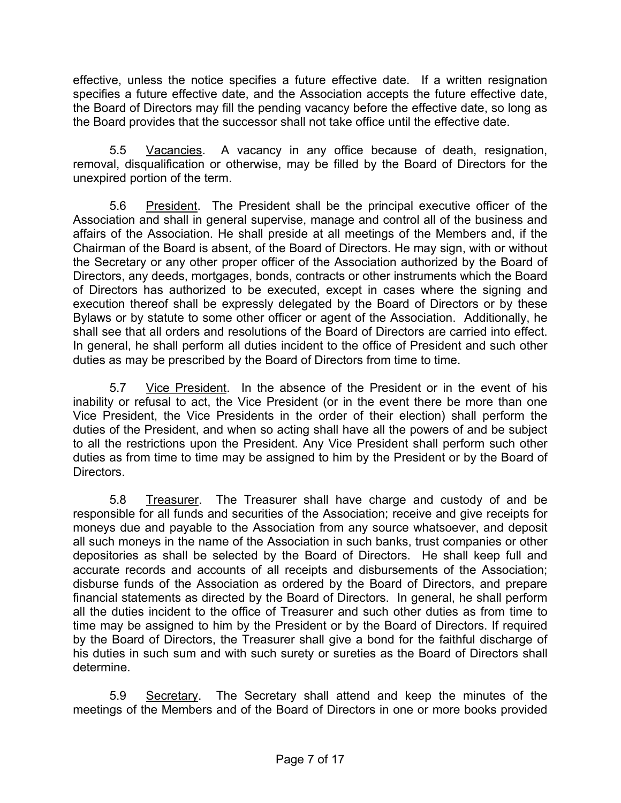effective, unless the notice specifies a future effective date. If a written resignation specifies a future effective date, and the Association accepts the future effective date, the Board of Directors may fill the pending vacancy before the effective date, so long as the Board provides that the successor shall not take office until the effective date.

5.5 Vacancies. A vacancy in any office because of death, resignation, removal, disqualification or otherwise, may be filled by the Board of Directors for the unexpired portion of the term.

5.6 President. The President shall be the principal executive officer of the Association and shall in general supervise, manage and control all of the business and affairs of the Association. He shall preside at all meetings of the Members and, if the Chairman of the Board is absent, of the Board of Directors. He may sign, with or without the Secretary or any other proper officer of the Association authorized by the Board of Directors, any deeds, mortgages, bonds, contracts or other instruments which the Board of Directors has authorized to be executed, except in cases where the signing and execution thereof shall be expressly delegated by the Board of Directors or by these Bylaws or by statute to some other officer or agent of the Association. Additionally, he shall see that all orders and resolutions of the Board of Directors are carried into effect. In general, he shall perform all duties incident to the office of President and such other duties as may be prescribed by the Board of Directors from time to time.

5.7 Vice President. In the absence of the President or in the event of his inability or refusal to act, the Vice President (or in the event there be more than one Vice President, the Vice Presidents in the order of their election) shall perform the duties of the President, and when so acting shall have all the powers of and be subject to all the restrictions upon the President. Any Vice President shall perform such other duties as from time to time may be assigned to him by the President or by the Board of Directors.

5.8 Treasurer. The Treasurer shall have charge and custody of and be responsible for all funds and securities of the Association; receive and give receipts for moneys due and payable to the Association from any source whatsoever, and deposit all such moneys in the name of the Association in such banks, trust companies or other depositories as shall be selected by the Board of Directors. He shall keep full and accurate records and accounts of all receipts and disbursements of the Association; disburse funds of the Association as ordered by the Board of Directors, and prepare financial statements as directed by the Board of Directors. In general, he shall perform all the duties incident to the office of Treasurer and such other duties as from time to time may be assigned to him by the President or by the Board of Directors. If required by the Board of Directors, the Treasurer shall give a bond for the faithful discharge of his duties in such sum and with such surety or sureties as the Board of Directors shall determine.

5.9 Secretary. The Secretary shall attend and keep the minutes of the meetings of the Members and of the Board of Directors in one or more books provided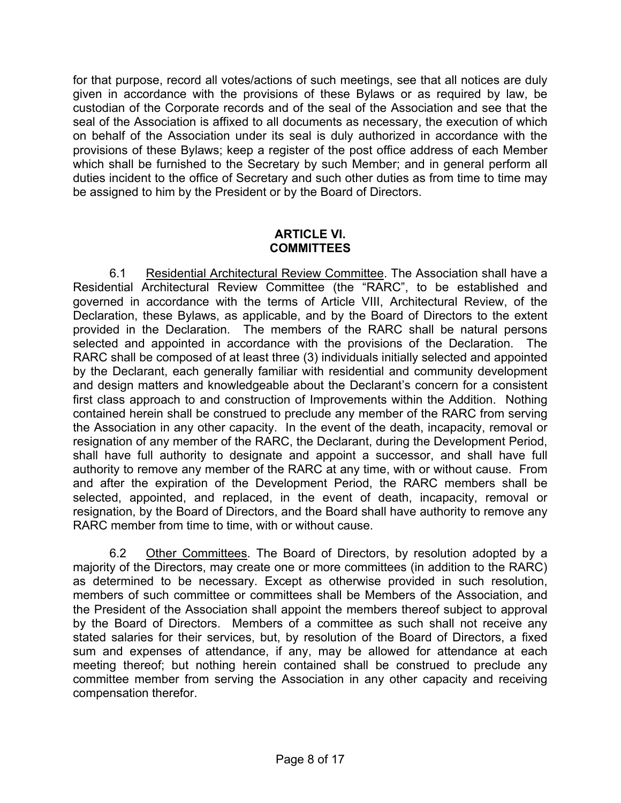for that purpose, record all votes/actions of such meetings, see that all notices are duly given in accordance with the provisions of these Bylaws or as required by law, be custodian of the Corporate records and of the seal of the Association and see that the seal of the Association is affixed to all documents as necessary, the execution of which on behalf of the Association under its seal is duly authorized in accordance with the provisions of these Bylaws; keep a register of the post office address of each Member which shall be furnished to the Secretary by such Member; and in general perform all duties incident to the office of Secretary and such other duties as from time to time may be assigned to him by the President or by the Board of Directors.

## **ARTICLE VI. COMMITTEES**

6.1 Residential Architectural Review Committee. The Association shall have a Residential Architectural Review Committee (the "RARC", to be established and governed in accordance with the terms of Article VIII, Architectural Review, of the Declaration, these Bylaws, as applicable, and by the Board of Directors to the extent provided in the Declaration. The members of the RARC shall be natural persons selected and appointed in accordance with the provisions of the Declaration. The RARC shall be composed of at least three (3) individuals initially selected and appointed by the Declarant, each generally familiar with residential and community development and design matters and knowledgeable about the Declarant's concern for a consistent first class approach to and construction of Improvements within the Addition. Nothing contained herein shall be construed to preclude any member of the RARC from serving the Association in any other capacity. In the event of the death, incapacity, removal or resignation of any member of the RARC, the Declarant, during the Development Period, shall have full authority to designate and appoint a successor, and shall have full authority to remove any member of the RARC at any time, with or without cause. From and after the expiration of the Development Period, the RARC members shall be selected, appointed, and replaced, in the event of death, incapacity, removal or resignation, by the Board of Directors, and the Board shall have authority to remove any RARC member from time to time, with or without cause.

6.2 Other Committees. The Board of Directors, by resolution adopted by a majority of the Directors, may create one or more committees (in addition to the RARC) as determined to be necessary. Except as otherwise provided in such resolution, members of such committee or committees shall be Members of the Association, and the President of the Association shall appoint the members thereof subject to approval by the Board of Directors. Members of a committee as such shall not receive any stated salaries for their services, but, by resolution of the Board of Directors, a fixed sum and expenses of attendance, if any, may be allowed for attendance at each meeting thereof; but nothing herein contained shall be construed to preclude any committee member from serving the Association in any other capacity and receiving compensation therefor.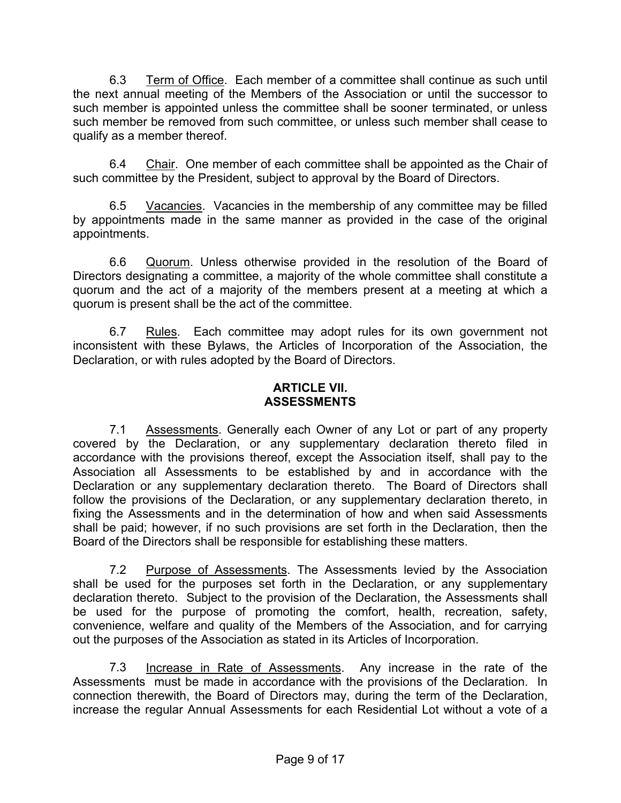6.3 Term of Office. Each member of a committee shall continue as such until the next annual meeting of the Members of the Association or until the successor to such member is appointed unless the committee shall be sooner terminated, or unless such member be removed from such committee, or unless such member shall cease to qualify as a member thereof.

6.4 Chair. One member of each committee shall be appointed as the Chair of such committee by the President, subject to approval by the Board of Directors.

6.5 Vacancies. Vacancies in the membership of any committee may be filled by appointments made in the same manner as provided in the case of the original appointments.

6.6 Quorum. Unless otherwise provided in the resolution of the Board of Directors designating a committee, a majority of the whole committee shall constitute a quorum and the act of a majority of the members present at a meeting at which a quorum is present shall be the act of the committee.

6.7 Rules. Each committee may adopt rules for its own government not inconsistent with these Bylaws, the Articles of Incorporation of the Association, the Declaration, or with rules adopted by the Board of Directors.

## **ARTICLE VII. ASSESSMENTS**

7.1 Assessments. Generally each Owner of any Lot or part of any property covered by the Declaration, or any supplementary declaration thereto filed in accordance with the provisions thereof, except the Association itself, shall pay to the Association all Assessments to be established by and in accordance with the Declaration or any supplementary declaration thereto. The Board of Directors shall follow the provisions of the Declaration, or any supplementary declaration thereto, in fixing the Assessments and in the determination of how and when said Assessments shall be paid; however, if no such provisions are set forth in the Declaration, then the Board of the Directors shall be responsible for establishing these matters.

7.2 Purpose of Assessments. The Assessments levied by the Association shall be used for the purposes set forth in the Declaration, or any supplementary declaration thereto. Subject to the provision of the Declaration, the Assessments shall be used for the purpose of promoting the comfort, health, recreation, safety, convenience, welfare and quality of the Members of the Association, and for carrying out the purposes of the Association as stated in its Articles of Incorporation.

7.3 Increase in Rate of Assessments. Any increase in the rate of the Assessments must be made in accordance with the provisions of the Declaration. In connection therewith, the Board of Directors may, during the term of the Declaration, increase the regular Annual Assessments for each Residential Lot without a vote of a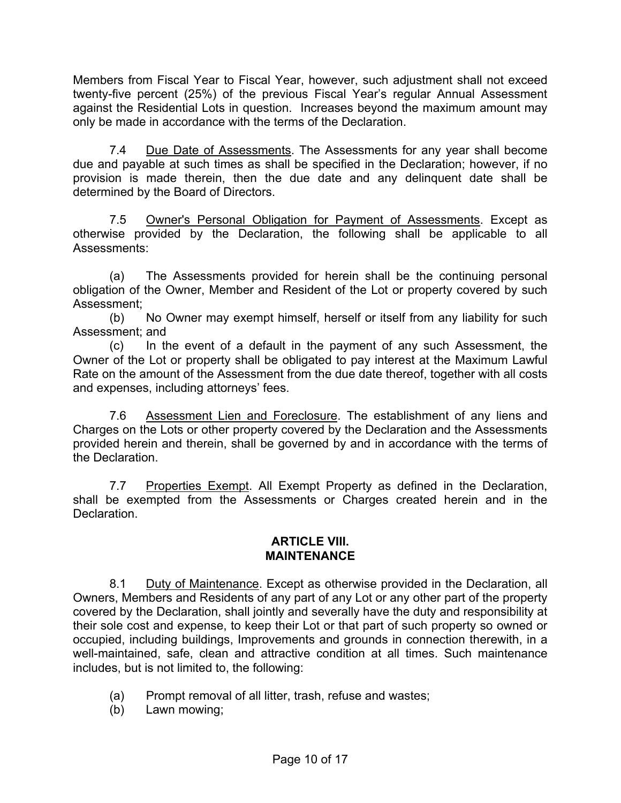Members from Fiscal Year to Fiscal Year, however, such adjustment shall not exceed twenty-five percent (25%) of the previous Fiscal Year's regular Annual Assessment against the Residential Lots in question. Increases beyond the maximum amount may only be made in accordance with the terms of the Declaration.

7.4 Due Date of Assessments. The Assessments for any year shall become due and payable at such times as shall be specified in the Declaration; however, if no provision is made therein, then the due date and any delinquent date shall be determined by the Board of Directors.

7.5 Owner's Personal Obligation for Payment of Assessments. Except as otherwise provided by the Declaration, the following shall be applicable to all Assessments:

(a) The Assessments provided for herein shall be the continuing personal obligation of the Owner, Member and Resident of the Lot or property covered by such Assessment;

(b) No Owner may exempt himself, herself or itself from any liability for such Assessment; and

(c) In the event of a default in the payment of any such Assessment, the Owner of the Lot or property shall be obligated to pay interest at the Maximum Lawful Rate on the amount of the Assessment from the due date thereof, together with all costs and expenses, including attorneys' fees.

7.6 Assessment Lien and Foreclosure. The establishment of any liens and Charges on the Lots or other property covered by the Declaration and the Assessments provided herein and therein, shall be governed by and in accordance with the terms of the Declaration.

7.7 Properties Exempt. All Exempt Property as defined in the Declaration, shall be exempted from the Assessments or Charges created herein and in the Declaration.

#### **ARTICLE VIII. MAINTENANCE**

8.1 Duty of Maintenance. Except as otherwise provided in the Declaration, all Owners, Members and Residents of any part of any Lot or any other part of the property covered by the Declaration, shall jointly and severally have the duty and responsibility at their sole cost and expense, to keep their Lot or that part of such property so owned or occupied, including buildings, Improvements and grounds in connection therewith, in a well-maintained, safe, clean and attractive condition at all times. Such maintenance includes, but is not limited to, the following:

- (a) Prompt removal of all litter, trash, refuse and wastes;
- (b) Lawn mowing;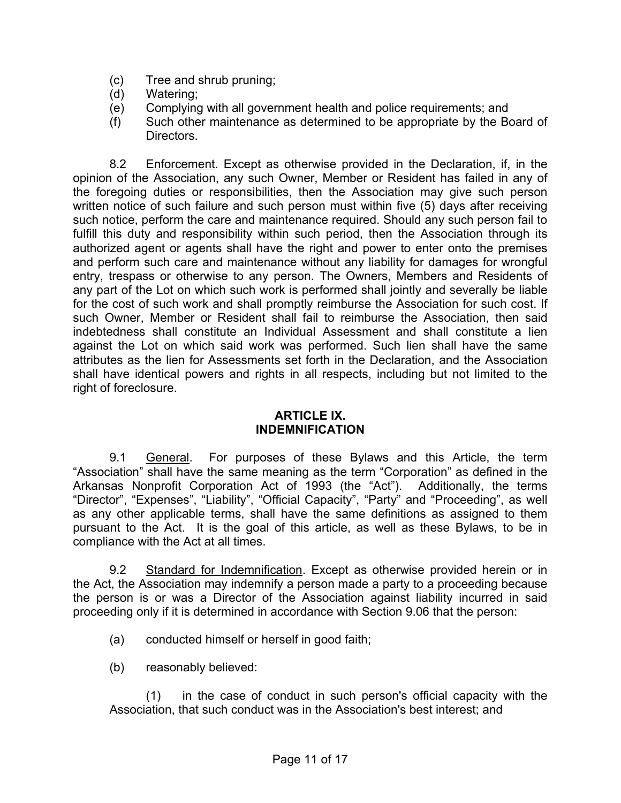- (c) Tree and shrub pruning;
- (d) Watering;
- (e) Complying with all government health and police requirements; and
- (f) Such other maintenance as determined to be appropriate by the Board of Directors.

8.2 Enforcement. Except as otherwise provided in the Declaration, if, in the opinion of the Association, any such Owner, Member or Resident has failed in any of the foregoing duties or responsibilities, then the Association may give such person written notice of such failure and such person must within five (5) days after receiving such notice, perform the care and maintenance required. Should any such person fail to fulfill this duty and responsibility within such period, then the Association through its authorized agent or agents shall have the right and power to enter onto the premises and perform such care and maintenance without any liability for damages for wrongful entry, trespass or otherwise to any person. The Owners, Members and Residents of any part of the Lot on which such work is performed shall jointly and severally be liable for the cost of such work and shall promptly reimburse the Association for such cost. If such Owner, Member or Resident shall fail to reimburse the Association, then said indebtedness shall constitute an Individual Assessment and shall constitute a lien against the Lot on which said work was performed. Such lien shall have the same attributes as the lien for Assessments set forth in the Declaration, and the Association shall have identical powers and rights in all respects, including but not limited to the right of foreclosure.

#### **ARTICLE IX. INDEMNIFICATION**

9.1 General. For purposes of these Bylaws and this Article, the term "Association" shall have the same meaning as the term "Corporation" as defined in the Arkansas Nonprofit Corporation Act of 1993 (the "Act"). Additionally, the terms "Director", "Expenses", "Liability", "Official Capacity", "Party" and "Proceeding", as well as any other applicable terms, shall have the same definitions as assigned to them pursuant to the Act. It is the goal of this article, as well as these Bylaws, to be in compliance with the Act at all times.

9.2 Standard for Indemnification. Except as otherwise provided herein or in the Act, the Association may indemnify a person made a party to a proceeding because the person is or was a Director of the Association against liability incurred in said proceeding only if it is determined in accordance with Section 9.06 that the person:

- (a) conducted himself or herself in good faith;
- (b) reasonably believed:

(1) in the case of conduct in such person's official capacity with the Association, that such conduct was in the Association's best interest; and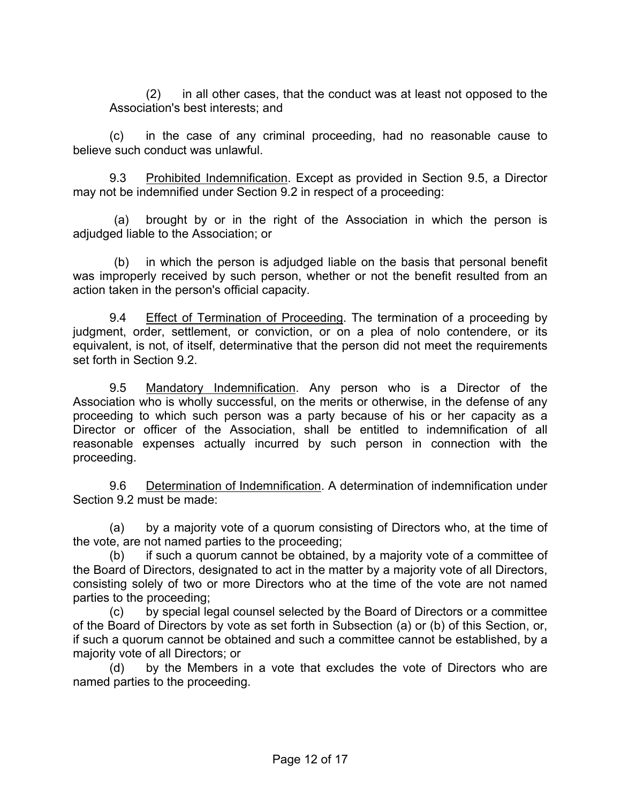(2) in all other cases, that the conduct was at least not opposed to the Association's best interests; and

(c) in the case of any criminal proceeding, had no reasonable cause to believe such conduct was unlawful.

9.3 Prohibited Indemnification. Except as provided in Section 9.5, a Director may not be indemnified under Section 9.2 in respect of a proceeding:

(a) brought by or in the right of the Association in which the person is adjudged liable to the Association; or

(b) in which the person is adjudged liable on the basis that personal benefit was improperly received by such person, whether or not the benefit resulted from an action taken in the person's official capacity.

9.4 Effect of Termination of Proceeding. The termination of a proceeding by judgment, order, settlement, or conviction, or on a plea of nolo contendere, or its equivalent, is not, of itself, determinative that the person did not meet the requirements set forth in Section 9.2.

9.5 Mandatory Indemnification. Any person who is a Director of the Association who is wholly successful, on the merits or otherwise, in the defense of any proceeding to which such person was a party because of his or her capacity as a Director or officer of the Association, shall be entitled to indemnification of all reasonable expenses actually incurred by such person in connection with the proceeding.

9.6 Determination of Indemnification. A determination of indemnification under Section 9.2 must be made:

(a) by a majority vote of a quorum consisting of Directors who, at the time of the vote, are not named parties to the proceeding;

(b) if such a quorum cannot be obtained, by a majority vote of a committee of the Board of Directors, designated to act in the matter by a majority vote of all Directors, consisting solely of two or more Directors who at the time of the vote are not named parties to the proceeding;

(c) by special legal counsel selected by the Board of Directors or a committee of the Board of Directors by vote as set forth in Subsection (a) or (b) of this Section, or, if such a quorum cannot be obtained and such a committee cannot be established, by a majority vote of all Directors; or

(d) by the Members in a vote that excludes the vote of Directors who are named parties to the proceeding.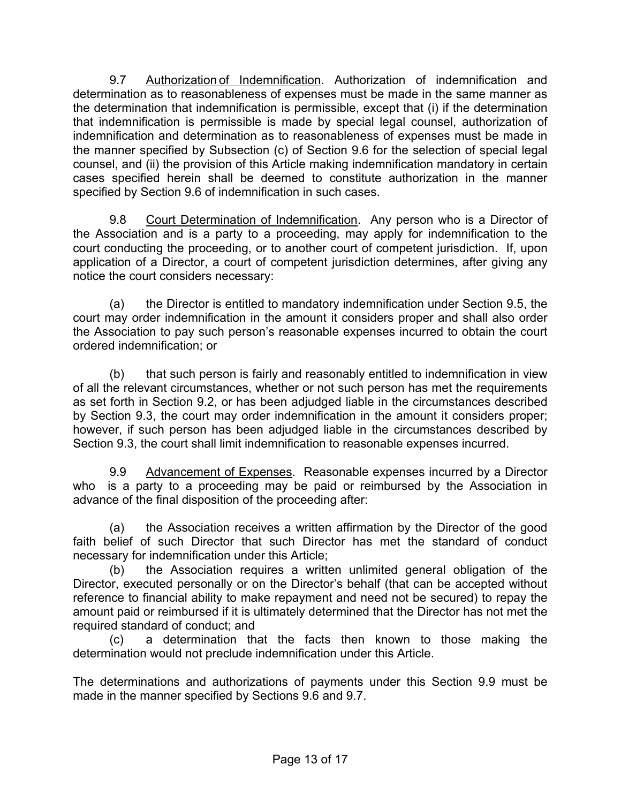9.7 Authorization of Indemnification. Authorization of indemnification and determination as to reasonableness of expenses must be made in the same manner as the determination that indemnification is permissible, except that (i) if the determination that indemnification is permissible is made by special legal counsel, authorization of indemnification and determination as to reasonableness of expenses must be made in the manner specified by Subsection (c) of Section 9.6 for the selection of special legal counsel, and (ii) the provision of this Article making indemnification mandatory in certain cases specified herein shall be deemed to constitute authorization in the manner specified by Section 9.6 of indemnification in such cases.

9.8 Court Determination of Indemnification. Any person who is a Director of the Association and is a party to a proceeding, may apply for indemnification to the court conducting the proceeding, or to another court of competent jurisdiction. If, upon application of a Director, a court of competent jurisdiction determines, after giving any notice the court considers necessary:

(a) the Director is entitled to mandatory indemnification under Section 9.5, the court may order indemnification in the amount it considers proper and shall also order the Association to pay such person's reasonable expenses incurred to obtain the court ordered indemnification; or

(b) that such person is fairly and reasonably entitled to indemnification in view of all the relevant circumstances, whether or not such person has met the requirements as set forth in Section 9.2, or has been adjudged liable in the circumstances described by Section 9.3, the court may order indemnification in the amount it considers proper; however, if such person has been adjudged liable in the circumstances described by Section 9.3, the court shall limit indemnification to reasonable expenses incurred.

9.9 Advancement of Expenses. Reasonable expenses incurred by a Director who is a party to a proceeding may be paid or reimbursed by the Association in advance of the final disposition of the proceeding after:

(a) the Association receives a written affirmation by the Director of the good faith belief of such Director that such Director has met the standard of conduct necessary for indemnification under this Article;

(b) the Association requires a written unlimited general obligation of the Director, executed personally or on the Director's behalf (that can be accepted without reference to financial ability to make repayment and need not be secured) to repay the amount paid or reimbursed if it is ultimately determined that the Director has not met the required standard of conduct; and

(c) a determination that the facts then known to those making the determination would not preclude indemnification under this Article.

The determinations and authorizations of payments under this Section 9.9 must be made in the manner specified by Sections 9.6 and 9.7.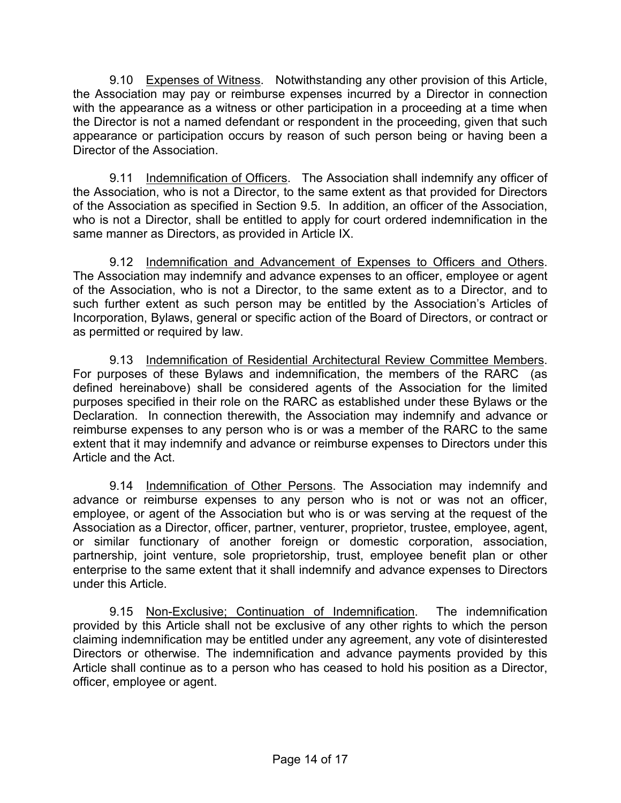9.10 Expenses of Witness. Notwithstanding any other provision of this Article, the Association may pay or reimburse expenses incurred by a Director in connection with the appearance as a witness or other participation in a proceeding at a time when the Director is not a named defendant or respondent in the proceeding, given that such appearance or participation occurs by reason of such person being or having been a Director of the Association.

9.11 Indemnification of Officers. The Association shall indemnify any officer of the Association, who is not a Director, to the same extent as that provided for Directors of the Association as specified in Section 9.5. In addition, an officer of the Association, who is not a Director, shall be entitled to apply for court ordered indemnification in the same manner as Directors, as provided in Article IX.

9.12 Indemnification and Advancement of Expenses to Officers and Others. The Association may indemnify and advance expenses to an officer, employee or agent of the Association, who is not a Director, to the same extent as to a Director, and to such further extent as such person may be entitled by the Association's Articles of Incorporation, Bylaws, general or specific action of the Board of Directors, or contract or as permitted or required by law.

9.13 Indemnification of Residential Architectural Review Committee Members. For purposes of these Bylaws and indemnification, the members of the RARC (as defined hereinabove) shall be considered agents of the Association for the limited purposes specified in their role on the RARC as established under these Bylaws or the Declaration. In connection therewith, the Association may indemnify and advance or reimburse expenses to any person who is or was a member of the RARC to the same extent that it may indemnify and advance or reimburse expenses to Directors under this Article and the Act.

9.14 Indemnification of Other Persons. The Association may indemnify and advance or reimburse expenses to any person who is not or was not an officer, employee, or agent of the Association but who is or was serving at the request of the Association as a Director, officer, partner, venturer, proprietor, trustee, employee, agent, or similar functionary of another foreign or domestic corporation, association, partnership, joint venture, sole proprietorship, trust, employee benefit plan or other enterprise to the same extent that it shall indemnify and advance expenses to Directors under this Article.

9.15 Non-Exclusive; Continuation of Indemnification. The indemnification provided by this Article shall not be exclusive of any other rights to which the person claiming indemnification may be entitled under any agreement, any vote of disinterested Directors or otherwise. The indemnification and advance payments provided by this Article shall continue as to a person who has ceased to hold his position as a Director, officer, employee or agent.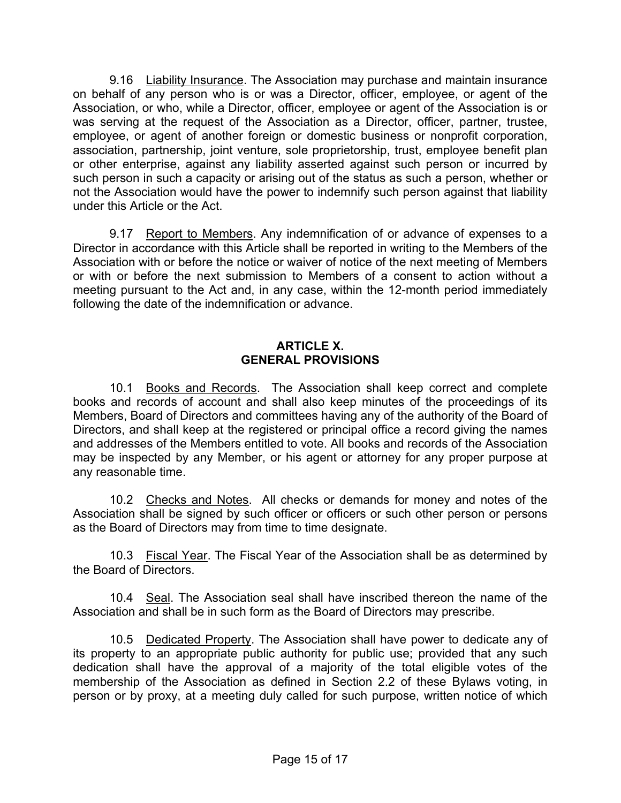9.16 Liability Insurance. The Association may purchase and maintain insurance on behalf of any person who is or was a Director, officer, employee, or agent of the Association, or who, while a Director, officer, employee or agent of the Association is or was serving at the request of the Association as a Director, officer, partner, trustee, employee, or agent of another foreign or domestic business or nonprofit corporation, association, partnership, joint venture, sole proprietorship, trust, employee benefit plan or other enterprise, against any liability asserted against such person or incurred by such person in such a capacity or arising out of the status as such a person, whether or not the Association would have the power to indemnify such person against that liability under this Article or the Act.

9.17 Report to Members. Any indemnification of or advance of expenses to a Director in accordance with this Article shall be reported in writing to the Members of the Association with or before the notice or waiver of notice of the next meeting of Members or with or before the next submission to Members of a consent to action without a meeting pursuant to the Act and, in any case, within the 12-month period immediately following the date of the indemnification or advance.

#### **ARTICLE X. GENERAL PROVISIONS**

10.1 Books and Records. The Association shall keep correct and complete books and records of account and shall also keep minutes of the proceedings of its Members, Board of Directors and committees having any of the authority of the Board of Directors, and shall keep at the registered or principal office a record giving the names and addresses of the Members entitled to vote. All books and records of the Association may be inspected by any Member, or his agent or attorney for any proper purpose at any reasonable time.

10.2 Checks and Notes. All checks or demands for money and notes of the Association shall be signed by such officer or officers or such other person or persons as the Board of Directors may from time to time designate.

10.3 Fiscal Year. The Fiscal Year of the Association shall be as determined by the Board of Directors.

10.4 Seal. The Association seal shall have inscribed thereon the name of the Association and shall be in such form as the Board of Directors may prescribe.

10.5 Dedicated Property. The Association shall have power to dedicate any of its property to an appropriate public authority for public use; provided that any such dedication shall have the approval of a majority of the total eligible votes of the membership of the Association as defined in Section 2.2 of these Bylaws voting, in person or by proxy, at a meeting duly called for such purpose, written notice of which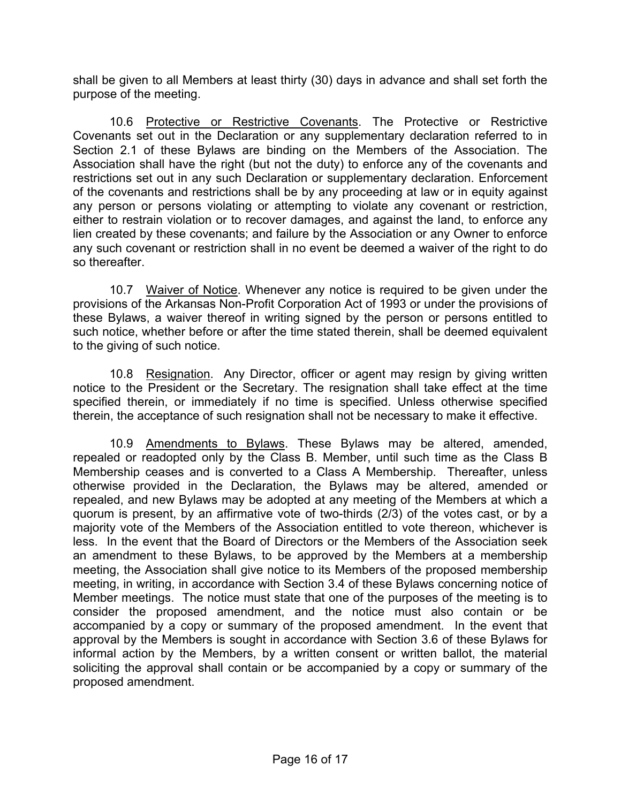shall be given to all Members at least thirty (30) days in advance and shall set forth the purpose of the meeting.

10.6 Protective or Restrictive Covenants. The Protective or Restrictive Covenants set out in the Declaration or any supplementary declaration referred to in Section 2.1 of these Bylaws are binding on the Members of the Association. The Association shall have the right (but not the duty) to enforce any of the covenants and restrictions set out in any such Declaration or supplementary declaration. Enforcement of the covenants and restrictions shall be by any proceeding at law or in equity against any person or persons violating or attempting to violate any covenant or restriction, either to restrain violation or to recover damages, and against the land, to enforce any lien created by these covenants; and failure by the Association or any Owner to enforce any such covenant or restriction shall in no event be deemed a waiver of the right to do so thereafter.

10.7 Waiver of Notice. Whenever any notice is required to be given under the provisions of the Arkansas Non-Profit Corporation Act of 1993 or under the provisions of these Bylaws, a waiver thereof in writing signed by the person or persons entitled to such notice, whether before or after the time stated therein, shall be deemed equivalent to the giving of such notice.

10.8 Resignation. Any Director, officer or agent may resign by giving written notice to the President or the Secretary. The resignation shall take effect at the time specified therein, or immediately if no time is specified. Unless otherwise specified therein, the acceptance of such resignation shall not be necessary to make it effective.

10.9 Amendments to Bylaws. These Bylaws may be altered, amended, repealed or readopted only by the Class B. Member, until such time as the Class B Membership ceases and is converted to a Class A Membership. Thereafter, unless otherwise provided in the Declaration, the Bylaws may be altered, amended or repealed, and new Bylaws may be adopted at any meeting of the Members at which a quorum is present, by an affirmative vote of two-thirds (2/3) of the votes cast, or by a majority vote of the Members of the Association entitled to vote thereon, whichever is less. In the event that the Board of Directors or the Members of the Association seek an amendment to these Bylaws, to be approved by the Members at a membership meeting, the Association shall give notice to its Members of the proposed membership meeting, in writing, in accordance with Section 3.4 of these Bylaws concerning notice of Member meetings. The notice must state that one of the purposes of the meeting is to consider the proposed amendment, and the notice must also contain or be accompanied by a copy or summary of the proposed amendment. In the event that approval by the Members is sought in accordance with Section 3.6 of these Bylaws for informal action by the Members, by a written consent or written ballot, the material soliciting the approval shall contain or be accompanied by a copy or summary of the proposed amendment.